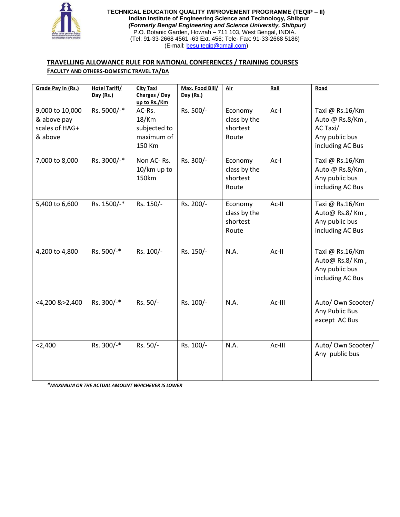

**TECHNICAL EDUCATION QUALITY IMPROVEMENT PROGRAMME (TEQIP – II) Indian Institute of Engineering Science and Technology, Shibpur**  *(Formerly Bengal Engineering and Science University, Shibpur)* P.O. Botanic Garden, Howrah – 711 103, West Bengal, INDIA. (Tel: 91-33-2668 4561 -63 Ext. 456; Tele- Fax: 91-33-2668 5186) (E-mail: [besu.teqip@gmail.com\)](mailto:besu.teqip@gmail.com)

# **TRAVELLING ALLOWANCE RULE FOR NATIONAL CONFERENCES / TRAINING COURSES**

## **FACULTY AND OTHERS-DOMESTIC TRAVEL TA/DA**

| Grade Pay in (Rs.)                                          | <b>Hotel Tariff/</b><br>Day (Rs.) | <b>City Taxi</b><br>Charges / Day<br>up to Rs./Km          | Max. Food Bill/<br>Day (Rs.) | <u>Air</u>                                   | Rail   | Road                                                                                 |
|-------------------------------------------------------------|-----------------------------------|------------------------------------------------------------|------------------------------|----------------------------------------------|--------|--------------------------------------------------------------------------------------|
| 9,000 to 10,000<br>& above pay<br>scales of HAG+<br>& above | Rs. 5000/-*                       | AC-Rs.<br>$18$ /Km<br>subjected to<br>maximum of<br>150 Km | Rs. 500/-                    | Economy<br>class by the<br>shortest<br>Route | Ac-I   | Taxi @ Rs.16/Km<br>Auto @ Rs.8/Km,<br>AC Taxi/<br>Any public bus<br>including AC Bus |
| 7,000 to 8,000                                              | Rs. 3000/-*                       | Non AC-Rs.<br>10/km up to<br>150km                         | Rs. 300/-                    | Economy<br>class by the<br>shortest<br>Route | $Ac-I$ | Taxi @ Rs.16/Km<br>Auto @ Rs.8/Km,<br>Any public bus<br>including AC Bus             |
| 5,400 to 6,600                                              | Rs. 1500/-*                       | Rs. 150/-                                                  | Rs. 200/-                    | Economy<br>class by the<br>shortest<br>Route | Ac-II  | Taxi @ Rs.16/Km<br>Auto@ Rs.8/Km,<br>Any public bus<br>including AC Bus              |
| 4,200 to 4,800                                              | Rs. 500/-*                        | Rs. 100/-                                                  | Rs. 150/-                    | N.A.                                         | Ac-II  | Taxi @ Rs.16/Km<br>Auto@ Rs.8/Km,<br>Any public bus<br>including AC Bus              |
| <4,200 &>2,400                                              | Rs. 300/-*                        | Rs. 50/-                                                   | Rs. 100/-                    | N.A.                                         | Ac-III | Auto/ Own Scooter/<br>Any Public Bus<br>except AC Bus                                |
| < 2,400                                                     | Rs. 300/-*                        | Rs. 50/-                                                   | Rs. 100/-                    | N.A.                                         | Ac-III | Auto/ Own Scooter/<br>Any public bus                                                 |

*\*MAXIMUM OR THE ACTUAL AMOUNT WHICHEVER IS LOWER*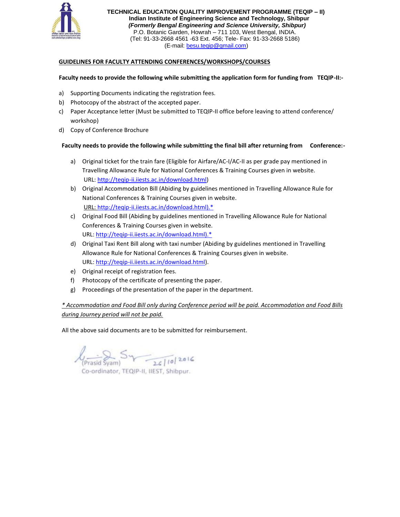

**TECHNICAL EDUCATION QUALITY IMPROVEMENT PROGRAMME (TEQIP – II) Indian Institute of Engineering Science and Technology, Shibpur**  *(Formerly Bengal Engineering and Science University, Shibpur)* P.O. Botanic Garden, Howrah – 711 103, West Bengal, INDIA. (Tel: 91-33-2668 4561 -63 Ext. 456; Tele- Fax: 91-33-2668 5186) (E-mail: [besu.teqip@gmail.com\)](mailto:besu.teqip@gmail.com)

## **GUIDELINES FOR FACULTY ATTENDING CONFERENCES/WORKSHOPS/COURSES**

### **Faculty needs to provide the following while submitting the application form for funding from TEQIP-II:-**

- a) Supporting Documents indicating the registration fees.
- b) Photocopy of the abstract of the accepted paper.
- c) Paper Acceptance letter (Must be submitted to TEQIP-II office before leaving to attend conference/ workshop)
- d) Copy of Conference Brochure

## **Faculty needs to provide the following while submitting the final bill after returning from Conference:-**

- a) Original ticket for the train fare (Eligible for Airfare/AC-I/AC-II as per grade pay mentioned in Travelling Allowance Rule for National Conferences & Training Courses given in website. URL: [http://teqip-ii.iiests.ac.in/download.html\)](http://teqip-ii.iiests.ac.in/download.html)
- b) Original Accommodation Bill (Abiding by guidelines mentioned in Travelling Allowance Rule for National Conferences & Training Courses given in website. URL: [http://teqip-ii.iiests.ac.in/download.html\).\\*](http://teqip-ii.iiests.ac.in/download.html).*)
- c) Original Food Bill (Abiding by guidelines mentioned in Travelling Allowance Rule for National Conferences & Training Courses given in website. URL: [http://teqip-ii.iiests.ac.in/download.html\).\\*](http://teqip-ii.iiests.ac.in/download.html).*)
- d) Original Taxi Rent Bill along with taxi number (Abiding by guidelines mentioned in Travelling Allowance Rule for National Conferences & Training Courses given in website. URL: [http://teqip-ii.iiests.ac.in/download.html\)](http://teqip-ii.iiests.ac.in/download.html).
- e) Original receipt of registration fees.
- f) Photocopy of the certificate of presenting the paper.
- g) Proceedings of the presentation of the paper in the department.

# *\* Accommodation and Food Bill only during Conference period will be paid. Accommodation and Food Bills during Journey period will not be paid.*

All the above said documents are to be submitted for reimbursement.

 $\sqrt{\frac{1}{\text{Prasid Sym}}}$   $\sqrt{\frac{1}{26} |10|^{20}}$ 

Co-ordinator, TEQIP-II, IIEST, Shibpur.